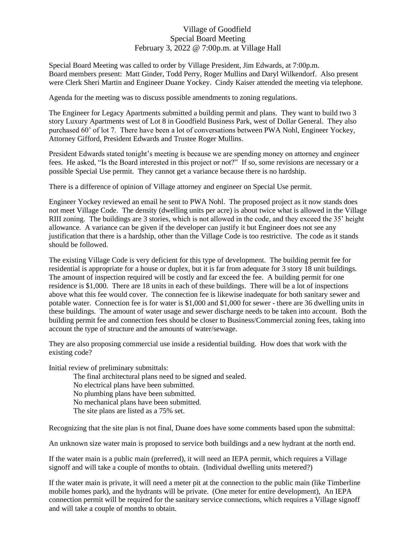## Village of Goodfield Special Board Meeting February 3, 2022 @ 7:00p.m. at Village Hall

Special Board Meeting was called to order by Village President, Jim Edwards, at 7:00p.m. Board members present: Matt Ginder, Todd Perry, Roger Mullins and Daryl Wilkendorf. Also present were Clerk Sheri Martin and Engineer Duane Yockey. Cindy Kaiser attended the meeting via telephone.

Agenda for the meeting was to discuss possible amendments to zoning regulations.

The Engineer for Legacy Apartments submitted a building permit and plans. They want to build two 3 story Luxury Apartments west of Lot 8 in Goodfield Business Park, west of Dollar General. They also purchased 60' of lot 7. There have been a lot of conversations between PWA Nohl, Engineer Yockey, Attorney Gifford, President Edwards and Trustee Roger Mullins.

President Edwards stated tonight's meeting is because we are spending money on attorney and engineer fees. He asked, "Is the Board interested in this project or not?" If so, some revisions are necessary or a possible Special Use permit. They cannot get a variance because there is no hardship.

There is a difference of opinion of Village attorney and engineer on Special Use permit.

Engineer Yockey reviewed an email he sent to PWA Nohl. The proposed project as it now stands does not meet Village Code. The density (dwelling units per acre) is about twice what is allowed in the Village RIII zoning. The buildings are 3 stories, which is not allowed in the code, and they exceed the 35' height allowance. A variance can be given if the developer can justify it but Engineer does not see any justification that there is a hardship, other than the Village Code is too restrictive. The code as it stands should be followed.

The existing Village Code is very deficient for this type of development. The building permit fee for residential is appropriate for a house or duplex, but it is far from adequate for 3 story 18 unit buildings. The amount of inspection required will be costly and far exceed the fee. A building permit for one residence is \$1,000. There are 18 units in each of these buildings. There will be a lot of inspections above what this fee would cover. The connection fee is likewise inadequate for both sanitary sewer and potable water. Connection fee is for water is \$1,000 and \$1,000 for sewer - there are 36 dwelling units in these buildings. The amount of water usage and sewer discharge needs to be taken into account. Both the building permit fee and connection fees should be closer to Business/Commercial zoning fees, taking into account the type of structure and the amounts of water/sewage.

They are also proposing commercial use inside a residential building. How does that work with the existing code?

Initial review of preliminary submittals:

The final architectural plans need to be signed and sealed. No electrical plans have been submitted. No plumbing plans have been submitted. No mechanical plans have been submitted.

The site plans are listed as a 75% set.

Recognizing that the site plan is not final, Duane does have some comments based upon the submittal:

An unknown size water main is proposed to service both buildings and a new hydrant at the north end.

If the water main is a public main (preferred), it will need an IEPA permit, which requires a Village signoff and will take a couple of months to obtain. (Individual dwelling units metered?)

If the water main is private, it will need a meter pit at the connection to the public main (like Timberline mobile homes park), and the hydrants will be private. (One meter for entire development), An IEPA connection permit will be required for the sanitary service connections, which requires a Village signoff and will take a couple of months to obtain.